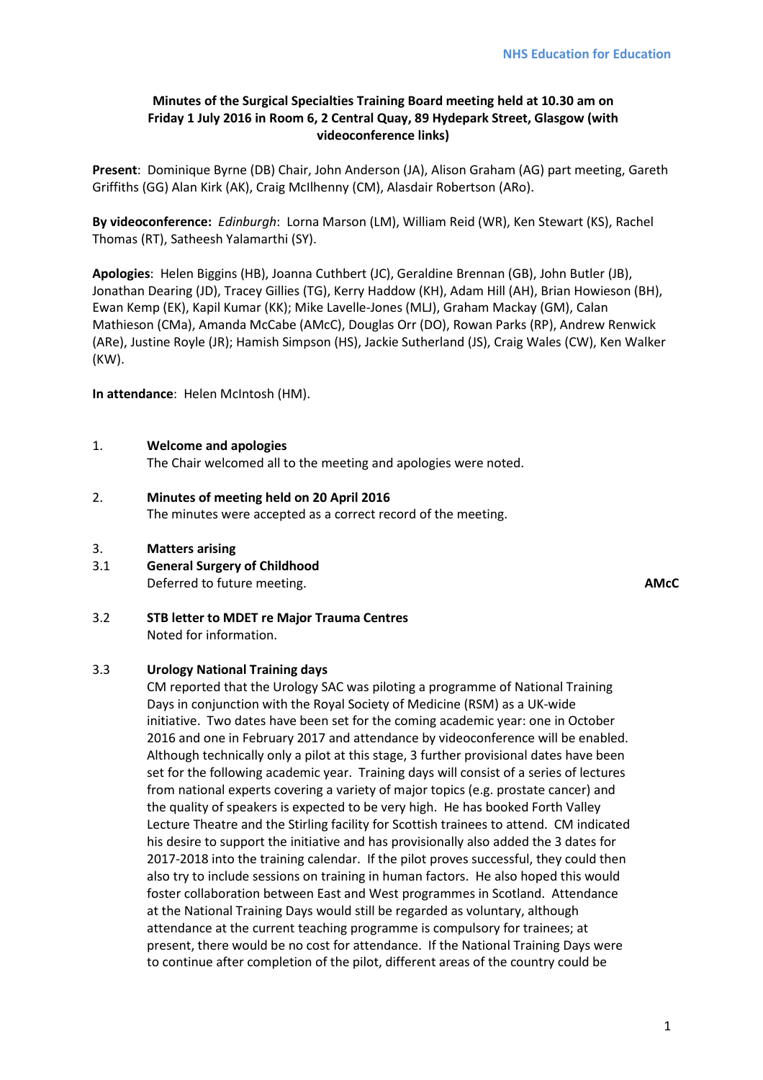# **Minutes of the Surgical Specialties Training Board meeting held at 10.30 am on Friday 1 July 2016 in Room 6, 2 Central Quay, 89 Hydepark Street, Glasgow (with videoconference links)**

**Present**: Dominique Byrne (DB) Chair, John Anderson (JA), Alison Graham (AG) part meeting, Gareth Griffiths (GG) Alan Kirk (AK), Craig McIlhenny (CM), Alasdair Robertson (ARo).

**By videoconference:** *Edinburgh*: Lorna Marson (LM), William Reid (WR), Ken Stewart (KS), Rachel Thomas (RT), Satheesh Yalamarthi (SY).

**Apologies**: Helen Biggins (HB), Joanna Cuthbert (JC), Geraldine Brennan (GB), John Butler (JB), Jonathan Dearing (JD), Tracey Gillies (TG), Kerry Haddow (KH), Adam Hill (AH), Brian Howieson (BH), Ewan Kemp (EK), Kapil Kumar (KK); Mike Lavelle-Jones (MLJ), Graham Mackay (GM), Calan Mathieson (CMa), Amanda McCabe (AMcC), Douglas Orr (DO), Rowan Parks (RP), Andrew Renwick (ARe), Justine Royle (JR); Hamish Simpson (HS), Jackie Sutherland (JS), Craig Wales (CW), Ken Walker (KW).

**In attendance**: Helen McIntosh (HM).

#### 1. **Welcome and apologies**

The Chair welcomed all to the meeting and apologies were noted.

# 2. **Minutes of meeting held on 20 April 2016**

The minutes were accepted as a correct record of the meeting.

#### 3. **Matters arising**

3.1 **General Surgery of Childhood** Deferred to future meeting. **AMcC**

3.2 **STB letter to MDET re Major Trauma Centres** Noted for information.

#### 3.3 **Urology National Training days**

CM reported that the Urology SAC was piloting a programme of National Training Days in conjunction with the Royal Society of Medicine (RSM) as a UK-wide initiative. Two dates have been set for the coming academic year: one in October 2016 and one in February 2017 and attendance by videoconference will be enabled. Although technically only a pilot at this stage, 3 further provisional dates have been set for the following academic year. Training days will consist of a series of lectures from national experts covering a variety of major topics (e.g. prostate cancer) and the quality of speakers is expected to be very high. He has booked Forth Valley Lecture Theatre and the Stirling facility for Scottish trainees to attend. CM indicated his desire to support the initiative and has provisionally also added the 3 dates for 2017-2018 into the training calendar. If the pilot proves successful, they could then also try to include sessions on training in human factors. He also hoped this would foster collaboration between East and West programmes in Scotland. Attendance at the National Training Days would still be regarded as voluntary, although attendance at the current teaching programme is compulsory for trainees; at present, there would be no cost for attendance. If the National Training Days were to continue after completion of the pilot, different areas of the country could be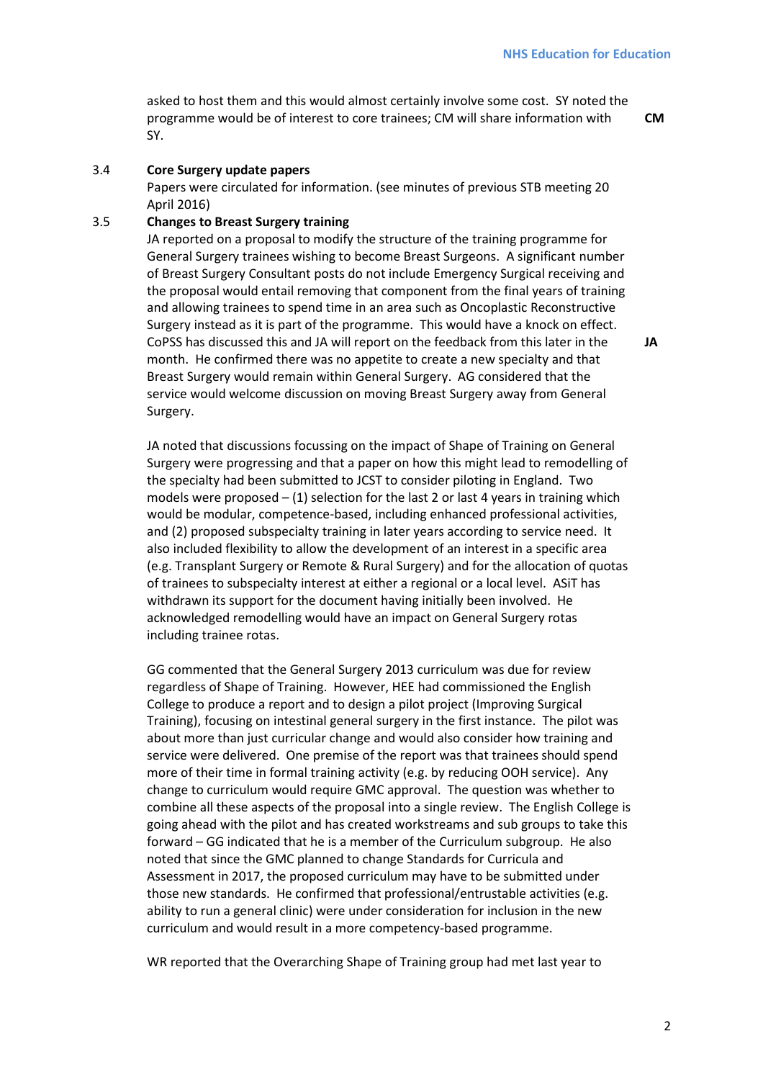asked to host them and this would almost certainly involve some cost. SY noted the programme would be of interest to core trainees; CM will share information with SY.

**CM** 

**JA** 

# 3.4 **Core Surgery update papers**

Papers were circulated for information. (see minutes of previous STB meeting 20 April 2016)

# 3.5 **Changes to Breast Surgery training**

JA reported on a proposal to modify the structure of the training programme for General Surgery trainees wishing to become Breast Surgeons. A significant number of Breast Surgery Consultant posts do not include Emergency Surgical receiving and the proposal would entail removing that component from the final years of training and allowing trainees to spend time in an area such as Oncoplastic Reconstructive Surgery instead as it is part of the programme. This would have a knock on effect. CoPSS has discussed this and JA will report on the feedback from this later in the month. He confirmed there was no appetite to create a new specialty and that Breast Surgery would remain within General Surgery. AG considered that the service would welcome discussion on moving Breast Surgery away from General Surgery.

JA noted that discussions focussing on the impact of Shape of Training on General Surgery were progressing and that a paper on how this might lead to remodelling of the specialty had been submitted to JCST to consider piloting in England. Two models were proposed  $-$  (1) selection for the last 2 or last 4 years in training which would be modular, competence-based, including enhanced professional activities, and (2) proposed subspecialty training in later years according to service need. It also included flexibility to allow the development of an interest in a specific area (e.g. Transplant Surgery or Remote & Rural Surgery) and for the allocation of quotas of trainees to subspecialty interest at either a regional or a local level. ASiT has withdrawn its support for the document having initially been involved. He acknowledged remodelling would have an impact on General Surgery rotas including trainee rotas.

GG commented that the General Surgery 2013 curriculum was due for review regardless of Shape of Training. However, HEE had commissioned the English College to produce a report and to design a pilot project (Improving Surgical Training), focusing on intestinal general surgery in the first instance. The pilot was about more than just curricular change and would also consider how training and service were delivered. One premise of the report was that trainees should spend more of their time in formal training activity (e.g. by reducing OOH service). Any change to curriculum would require GMC approval. The question was whether to combine all these aspects of the proposal into a single review. The English College is going ahead with the pilot and has created workstreams and sub groups to take this forward – GG indicated that he is a member of the Curriculum subgroup. He also noted that since the GMC planned to change Standards for Curricula and Assessment in 2017, the proposed curriculum may have to be submitted under those new standards. He confirmed that professional/entrustable activities (e.g. ability to run a general clinic) were under consideration for inclusion in the new curriculum and would result in a more competency-based programme.

WR reported that the Overarching Shape of Training group had met last year to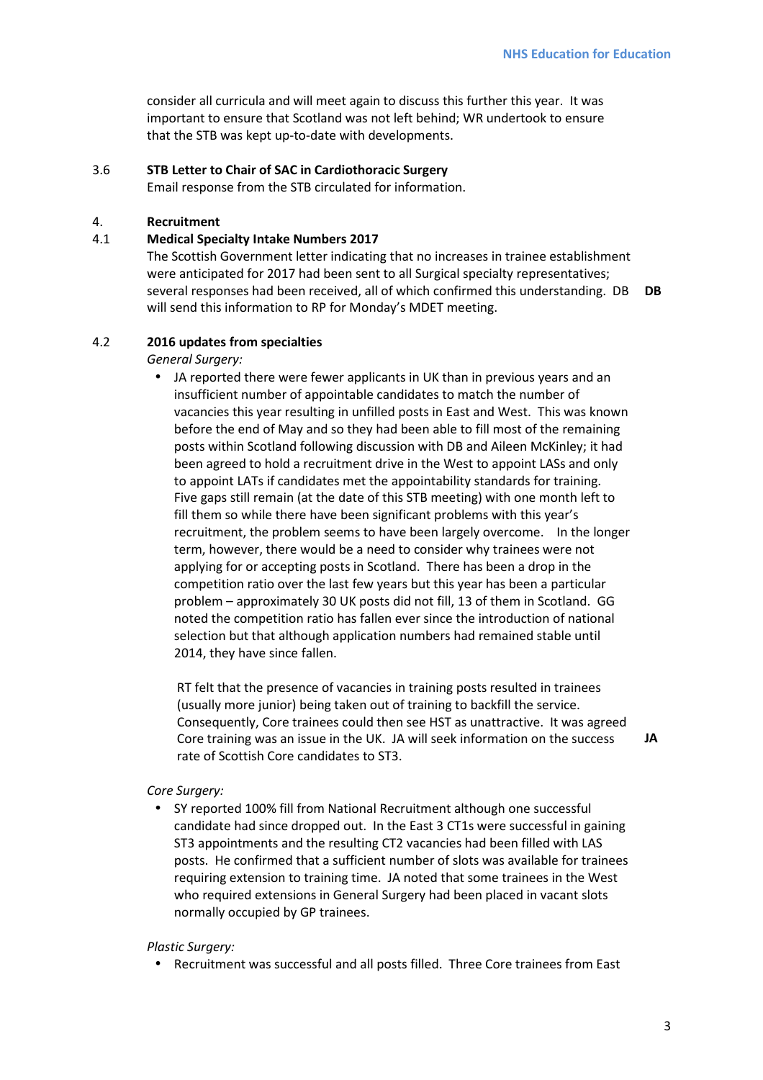consider all curricula and will meet again to discuss this further this year. It was important to ensure that Scotland was not left behind; WR undertook to ensure that the STB was kept up-to-date with developments.

# 3.6 **STB Letter to Chair of SAC in Cardiothoracic Surgery**

Email response from the STB circulated for information.

#### 4. **Recruitment**

#### 4.1 **Medical Specialty Intake Numbers 2017**

The Scottish Government letter indicating that no increases in trainee establishment were anticipated for 2017 had been sent to all Surgical specialty representatives; several responses had been received, all of which confirmed this understanding. DB **DB**  will send this information to RP for Monday's MDET meeting.

#### 4.2 **2016 updates from specialties**

*General Surgery:* 

• JA reported there were fewer applicants in UK than in previous years and an insufficient number of appointable candidates to match the number of vacancies this year resulting in unfilled posts in East and West. This was known before the end of May and so they had been able to fill most of the remaining posts within Scotland following discussion with DB and Aileen McKinley; it had been agreed to hold a recruitment drive in the West to appoint LASs and only to appoint LATs if candidates met the appointability standards for training. Five gaps still remain (at the date of this STB meeting) with one month left to fill them so while there have been significant problems with this year's recruitment, the problem seems to have been largely overcome. In the longer term, however, there would be a need to consider why trainees were not applying for or accepting posts in Scotland. There has been a drop in the competition ratio over the last few years but this year has been a particular problem – approximately 30 UK posts did not fill, 13 of them in Scotland. GG noted the competition ratio has fallen ever since the introduction of national selection but that although application numbers had remained stable until 2014, they have since fallen.

RT felt that the presence of vacancies in training posts resulted in trainees (usually more junior) being taken out of training to backfill the service. Consequently, Core trainees could then see HST as unattractive. It was agreed Core training was an issue in the UK. JA will seek information on the success rate of Scottish Core candidates to ST3.

# **JA**

#### *Core Surgery:*

• SY reported 100% fill from National Recruitment although one successful candidate had since dropped out. In the East 3 CT1s were successful in gaining ST3 appointments and the resulting CT2 vacancies had been filled with LAS posts. He confirmed that a sufficient number of slots was available for trainees requiring extension to training time. JA noted that some trainees in the West who required extensions in General Surgery had been placed in vacant slots normally occupied by GP trainees.

#### *Plastic Surgery:*

• Recruitment was successful and all posts filled. Three Core trainees from East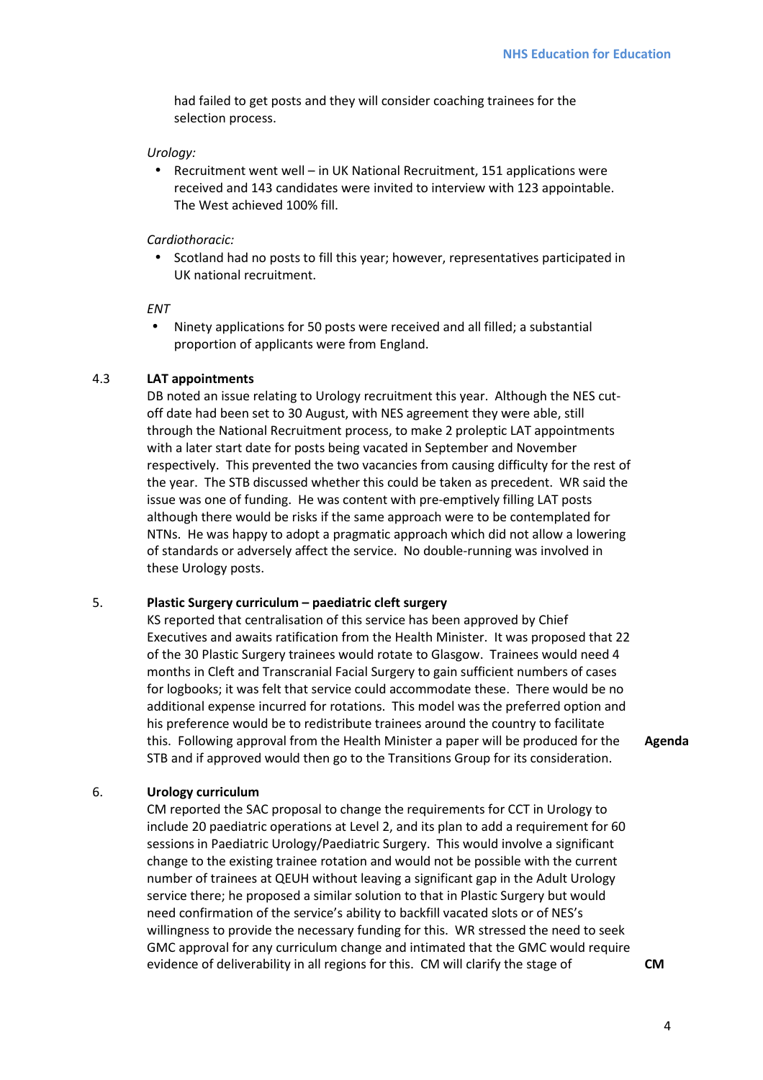had failed to get posts and they will consider coaching trainees for the selection process.

#### *Urology:*

• Recruitment went well – in UK National Recruitment, 151 applications were received and 143 candidates were invited to interview with 123 appointable. The West achieved 100% fill.

# *Cardiothoracic:*

• Scotland had no posts to fill this year; however, representatives participated in UK national recruitment.

*ENT* 

• Ninety applications for 50 posts were received and all filled; a substantial proportion of applicants were from England.

# 4.3 **LAT appointments**

DB noted an issue relating to Urology recruitment this year. Although the NES cutoff date had been set to 30 August, with NES agreement they were able, still through the National Recruitment process, to make 2 proleptic LAT appointments with a later start date for posts being vacated in September and November respectively. This prevented the two vacancies from causing difficulty for the rest of the year. The STB discussed whether this could be taken as precedent. WR said the issue was one of funding. He was content with pre-emptively filling LAT posts although there would be risks if the same approach were to be contemplated for NTNs. He was happy to adopt a pragmatic approach which did not allow a lowering of standards or adversely affect the service. No double-running was involved in these Urology posts.

# 5. **Plastic Surgery curriculum – paediatric cleft surgery**

KS reported that centralisation of this service has been approved by Chief Executives and awaits ratification from the Health Minister. It was proposed that 22 of the 30 Plastic Surgery trainees would rotate to Glasgow. Trainees would need 4 months in Cleft and Transcranial Facial Surgery to gain sufficient numbers of cases for logbooks; it was felt that service could accommodate these. There would be no additional expense incurred for rotations. This model was the preferred option and his preference would be to redistribute trainees around the country to facilitate this. Following approval from the Health Minister a paper will be produced for the STB and if approved would then go to the Transitions Group for its consideration.

**Agenda** 

# 6. **Urology curriculum**

CM reported the SAC proposal to change the requirements for CCT in Urology to include 20 paediatric operations at Level 2, and its plan to add a requirement for 60 sessions in Paediatric Urology/Paediatric Surgery. This would involve a significant change to the existing trainee rotation and would not be possible with the current number of trainees at QEUH without leaving a significant gap in the Adult Urology service there; he proposed a similar solution to that in Plastic Surgery but would need confirmation of the service's ability to backfill vacated slots or of NES's willingness to provide the necessary funding for this. WR stressed the need to seek GMC approval for any curriculum change and intimated that the GMC would require evidence of deliverability in all regions for this. CM will clarify the stage of **CM**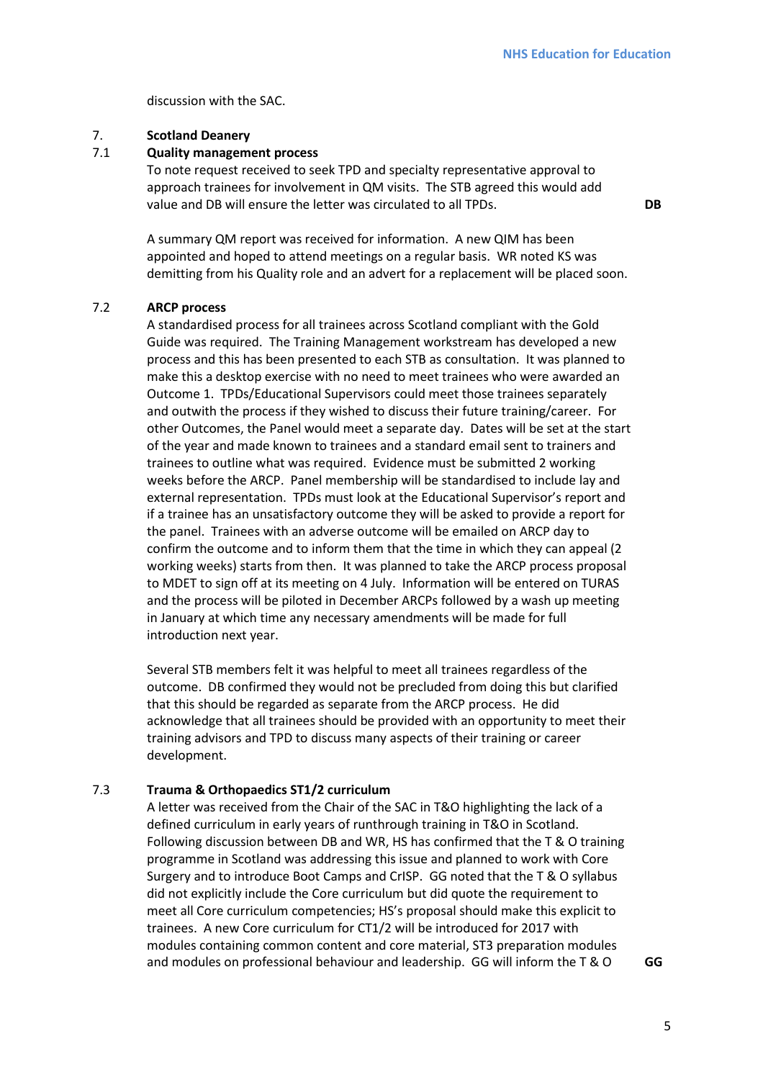**DB** 

discussion with the SAC.

# 7. **Scotland Deanery**

# 7.1 **Quality management process**

To note request received to seek TPD and specialty representative approval to approach trainees for involvement in QM visits. The STB agreed this would add value and DB will ensure the letter was circulated to all TPDs.

A summary QM report was received for information. A new QIM has been appointed and hoped to attend meetings on a regular basis. WR noted KS was demitting from his Quality role and an advert for a replacement will be placed soon.

# 7.2 **ARCP process**

A standardised process for all trainees across Scotland compliant with the Gold Guide was required. The Training Management workstream has developed a new process and this has been presented to each STB as consultation. It was planned to make this a desktop exercise with no need to meet trainees who were awarded an Outcome 1. TPDs/Educational Supervisors could meet those trainees separately and outwith the process if they wished to discuss their future training/career. For other Outcomes, the Panel would meet a separate day. Dates will be set at the start of the year and made known to trainees and a standard email sent to trainers and trainees to outline what was required. Evidence must be submitted 2 working weeks before the ARCP. Panel membership will be standardised to include lay and external representation. TPDs must look at the Educational Supervisor's report and if a trainee has an unsatisfactory outcome they will be asked to provide a report for the panel. Trainees with an adverse outcome will be emailed on ARCP day to confirm the outcome and to inform them that the time in which they can appeal (2 working weeks) starts from then. It was planned to take the ARCP process proposal to MDET to sign off at its meeting on 4 July. Information will be entered on TURAS and the process will be piloted in December ARCPs followed by a wash up meeting in January at which time any necessary amendments will be made for full introduction next year.

Several STB members felt it was helpful to meet all trainees regardless of the outcome. DB confirmed they would not be precluded from doing this but clarified that this should be regarded as separate from the ARCP process. He did acknowledge that all trainees should be provided with an opportunity to meet their training advisors and TPD to discuss many aspects of their training or career development.

# 7.3 **Trauma & Orthopaedics ST1/2 curriculum**

A letter was received from the Chair of the SAC in T&O highlighting the lack of a defined curriculum in early years of runthrough training in T&O in Scotland. Following discussion between DB and WR, HS has confirmed that the T & O training programme in Scotland was addressing this issue and planned to work with Core Surgery and to introduce Boot Camps and CrISP. GG noted that the T & O syllabus did not explicitly include the Core curriculum but did quote the requirement to meet all Core curriculum competencies; HS's proposal should make this explicit to trainees. A new Core curriculum for CT1/2 will be introduced for 2017 with modules containing common content and core material, ST3 preparation modules and modules on professional behaviour and leadership. GG will inform the T & O **GG**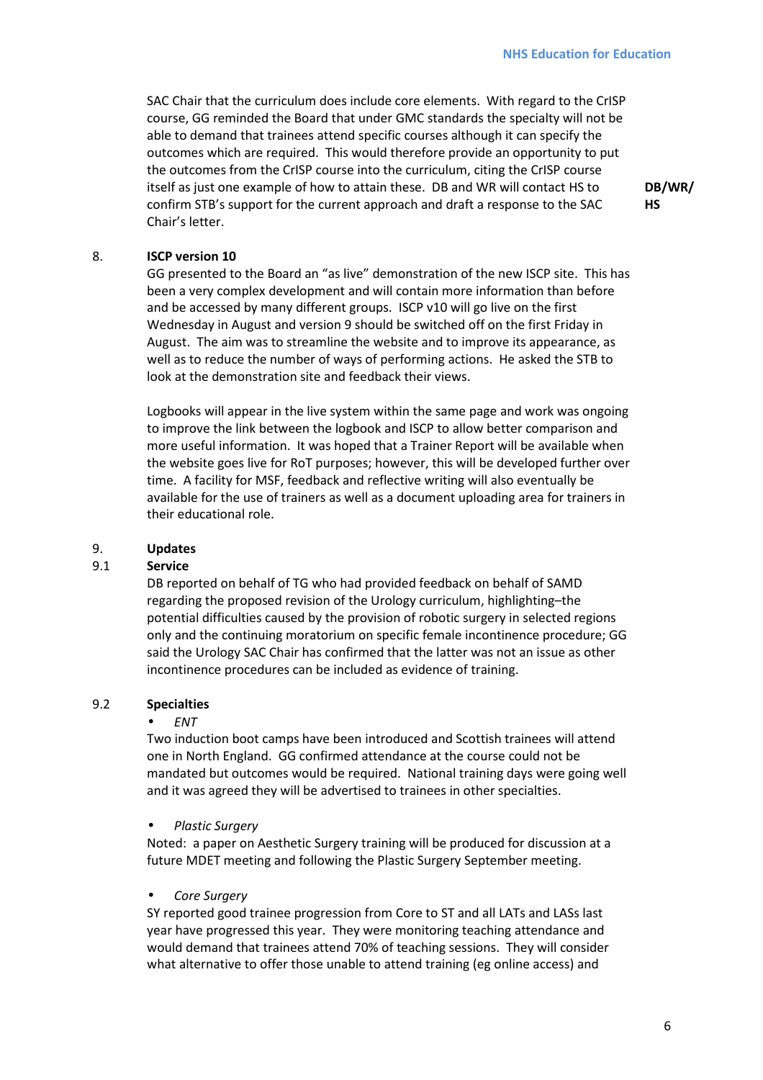SAC Chair that the curriculum does include core elements. With regard to the CrISP course, GG reminded the Board that under GMC standards the specialty will not be able to demand that trainees attend specific courses although it can specify the outcomes which are required. This would therefore provide an opportunity to put the outcomes from the CrISP course into the curriculum, citing the CrISP course itself as just one example of how to attain these. DB and WR will contact HS to confirm STB's support for the current approach and draft a response to the SAC Chair's letter.

**DB/WR/ HS**

# 8. **ISCP version 10**

GG presented to the Board an "as live" demonstration of the new ISCP site. This has been a very complex development and will contain more information than before and be accessed by many different groups. ISCP v10 will go live on the first Wednesday in August and version 9 should be switched off on the first Friday in August. The aim was to streamline the website and to improve its appearance, as well as to reduce the number of ways of performing actions. He asked the STB to look at the demonstration site and feedback their views.

Logbooks will appear in the live system within the same page and work was ongoing to improve the link between the logbook and ISCP to allow better comparison and more useful information. It was hoped that a Trainer Report will be available when the website goes live for RoT purposes; however, this will be developed further over time. A facility for MSF, feedback and reflective writing will also eventually be available for the use of trainers as well as a document uploading area for trainers in their educational role.

# 9. **Updates**

# 9.1 **Service**

DB reported on behalf of TG who had provided feedback on behalf of SAMD regarding the proposed revision of the Urology curriculum, highlighting–the potential difficulties caused by the provision of robotic surgery in selected regions only and the continuing moratorium on specific female incontinence procedure; GG said the Urology SAC Chair has confirmed that the latter was not an issue as other incontinence procedures can be included as evidence of training.

# 9.2 **Specialties**

#### • *ENT*

Two induction boot camps have been introduced and Scottish trainees will attend one in North England. GG confirmed attendance at the course could not be mandated but outcomes would be required. National training days were going well and it was agreed they will be advertised to trainees in other specialties.

# • *Plastic Surgery*

Noted: a paper on Aesthetic Surgery training will be produced for discussion at a future MDET meeting and following the Plastic Surgery September meeting.

# • *Core Surgery*

SY reported good trainee progression from Core to ST and all LATs and LASs last year have progressed this year. They were monitoring teaching attendance and would demand that trainees attend 70% of teaching sessions. They will consider what alternative to offer those unable to attend training (eg online access) and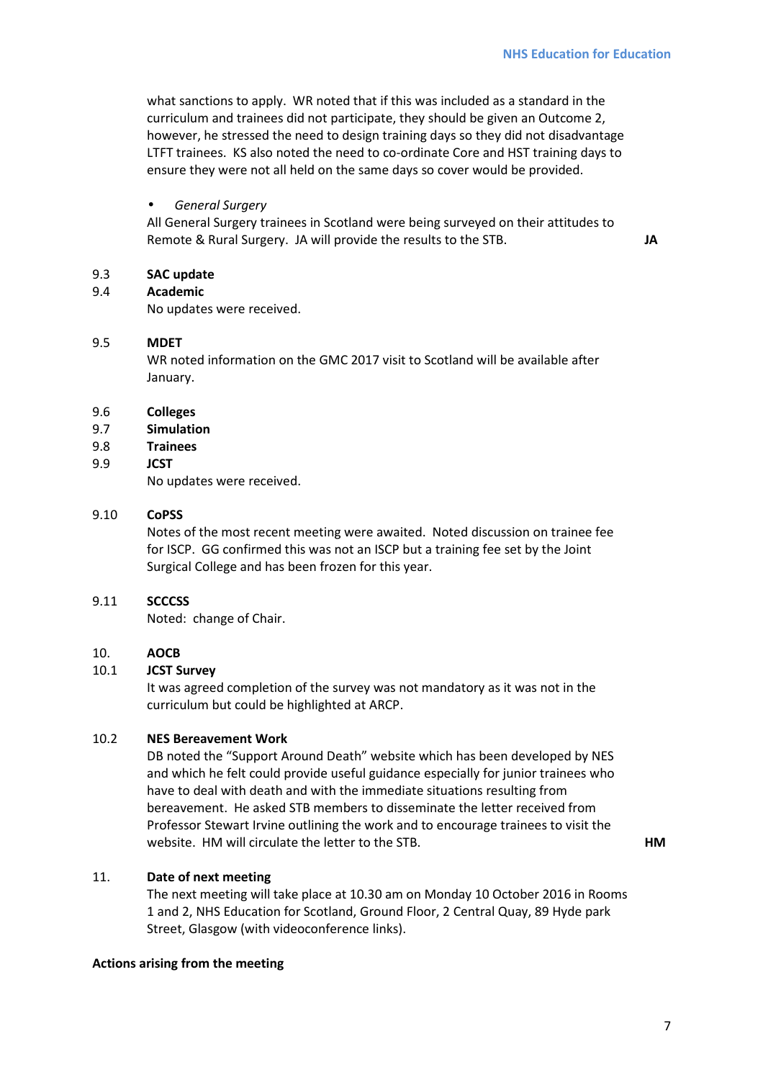what sanctions to apply. WR noted that if this was included as a standard in the curriculum and trainees did not participate, they should be given an Outcome 2, however, he stressed the need to design training days so they did not disadvantage LTFT trainees. KS also noted the need to co-ordinate Core and HST training days to ensure they were not all held on the same days so cover would be provided.

# • *General Surgery*

All General Surgery trainees in Scotland were being surveyed on their attitudes to Remote & Rural Surgery. JA will provide the results to the STB. **JA** 

# 9.3 **SAC update**

9.4 **Academic**

No updates were received.

#### 9.5 **MDET**

WR noted information on the GMC 2017 visit to Scotland will be available after January.

#### 9.6 **Colleges**

#### 9.7 **Simulation**

9.8 **Trainees** 

#### 9.9 **JCST**

No updates were received.

#### 9.10 **CoPSS**

Notes of the most recent meeting were awaited. Noted discussion on trainee fee for ISCP. GG confirmed this was not an ISCP but a training fee set by the Joint Surgical College and has been frozen for this year.

#### 9.11 **SCCCSS**

Noted: change of Chair.

# 10. **AOCB**

#### 10.1 **JCST Survey**

It was agreed completion of the survey was not mandatory as it was not in the curriculum but could be highlighted at ARCP.

# 10.2 **NES Bereavement Work**

DB noted the "Support Around Death" website which has been developed by NES and which he felt could provide useful guidance especially for junior trainees who have to deal with death and with the immediate situations resulting from bereavement. He asked STB members to disseminate the letter received from Professor Stewart Irvine outlining the work and to encourage trainees to visit the website. HM will circulate the letter to the STB. **HM** 

# 11. **Date of next meeting**

The next meeting will take place at 10.30 am on Monday 10 October 2016 in Rooms 1 and 2, NHS Education for Scotland, Ground Floor, 2 Central Quay, 89 Hyde park Street, Glasgow (with videoconference links).

#### **Actions arising from the meeting**